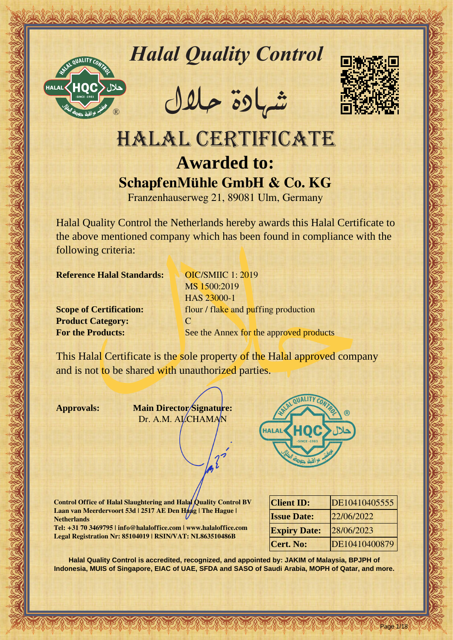

*Halal Quality Control*

REACTOR AND THE REAL PROPERTY OF THE REAL PROPERTY

�شهادة حالل



# Hallal Quality Control and Control and Control and Control and Control and Control and Control and Control and Control and Control and Control and Control and Control and Control and Control and Control and Control and Con HALAL CERTIFICATE **Awarded to: SchapfenMühle GmbH & Co. KG**

Franzenhauserweg 21, 89081 Ulm, Germany

Halal Quality Control the Netherlands hereby awards this Halal Certificate to the above mentioned company which has been found in compliance with the following criteria:

**Reference Halal Standards:** OIC/SMIIC 1: 2019

**Product Category:** C

MS 1500:2019 HAS 23000-1 **Scope of Certification: flour / flake and puffing production For the Products:** See the Annex for the approved products

This Halal Certificate is the sole property of the Halal approved company and is not to be shared with unauthorized parties.

**Approvals: Main Director Signature:** Dr. A.M. ALCHAMAN



**Control Office of Halal Slaughtering and Halal Quality Control BV Laan van Meerdervoort 53d | 2517 AE Den Haag | The Hague | Netherlands**

**Tel: +31 70 3469795 | info@halaloffice.com | www.halaloffice.com Legal Registration Nr: 85104019 | RSIN/VAT: NL863510486B**

| <b>Client ID:</b>   | DE10410405555 |
|---------------------|---------------|
| <b>Issue Date:</b>  | 22/06/2022    |
| <b>Expiry Date:</b> | 28/06/2023    |
| <b>Cert. No:</b>    | DE10410400879 |

Page 1/18

**Halal Quality Control is accredited, recognized, and appointed by: JAKIM of Malaysia, BPJPH of Indonesia, MUIS of Singapore, EIAC of UAE, SFDA and SASO of Saudi Arabia, MOPH of Qatar, and more.**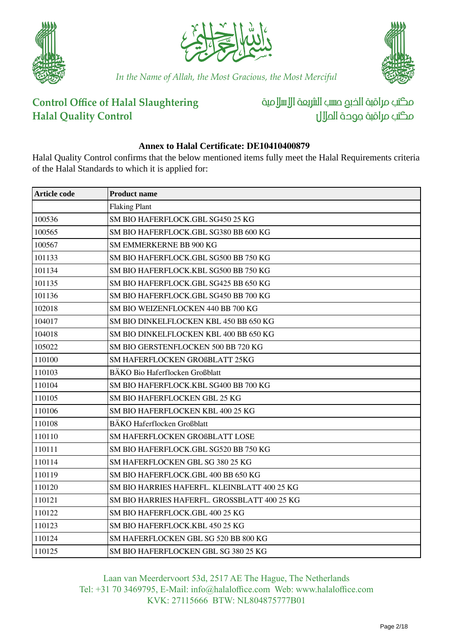





### **Control Office of Halal Slaughtering Halal Quality Control**

مكتب مراقبة الذبم صسب الشريعة الإسلامية مكتب مراقبة جودة المال

### **Annex to Halal Certificate: DE10410400879**

Halal Quality Control confirms that the below mentioned items fully meet the Halal Requirements criteria of the Halal Standards to which it is applied for:

| <b>Article code</b> | <b>Product name</b>                          |
|---------------------|----------------------------------------------|
|                     | <b>Flaking Plant</b>                         |
| 100536              | SM BIO HAFERFLOCK.GBL SG450 25 KG            |
| 100565              | SM BIO HAFERFLOCK.GBL SG380 BB 600 KG        |
| 100567              | SM EMMERKERNE BB 900 KG                      |
| 101133              | SM BIO HAFERFLOCK.GBL SG500 BB 750 KG        |
| 101134              | SM BIO HAFERFLOCK.KBL SG500 BB 750 KG        |
| 101135              | SM BIO HAFERFLOCK.GBL SG425 BB 650 KG        |
| 101136              | SM BIO HAFERFLOCK.GBL SG450 BB 700 KG        |
| 102018              | SM BIO WEIZENFLOCKEN 440 BB 700 KG           |
| 104017              | SM BIO DINKELFLOCKEN KBL 450 BB 650 KG       |
| 104018              | SM BIO DINKELFLOCKEN KBL 400 BB 650 KG       |
| 105022              | SM BIO GERSTENFLOCKEN 500 BB 720 KG          |
| 110100              | SM HAFERFLOCKEN GROßBLATT 25KG               |
| 110103              | BÄKO Bio Haferflocken Großblatt              |
| 110104              | SM BIO HAFERFLOCK.KBL SG400 BB 700 KG        |
| 110105              | SM BIO HAFERFLOCKEN GBL 25 KG                |
| 110106              | SM BIO HAFERFLOCKEN KBL 400 25 KG            |
| 110108              | <b>BÄKO Haferflocken Großblatt</b>           |
| 110110              | SM HAFERFLOCKEN GROßBLATT LOSE               |
| 110111              | SM BIO HAFERFLOCK.GBL SG520 BB 750 KG        |
| 110114              | SM HAFERFLOCKEN GBL SG 380 25 KG             |
| 110119              | SM BIO HAFERFLOCK.GBL 400 BB 650 KG          |
| 110120              | SM BIO HARRIES HAFERFL. KLEINBLATT 400 25 KG |
| 110121              | SM BIO HARRIES HAFERFL. GROSSBLATT 400 25 KG |
| 110122              | SM BIO HAFERFLOCK.GBL 400 25 KG              |
| 110123              | SM BIO HAFERFLOCK.KBL 450 25 KG              |
| 110124              | SM HAFERFLOCKEN GBL SG 520 BB 800 KG         |
| 110125              | SM BIO HAFERFLOCKEN GBL SG 380 25 KG         |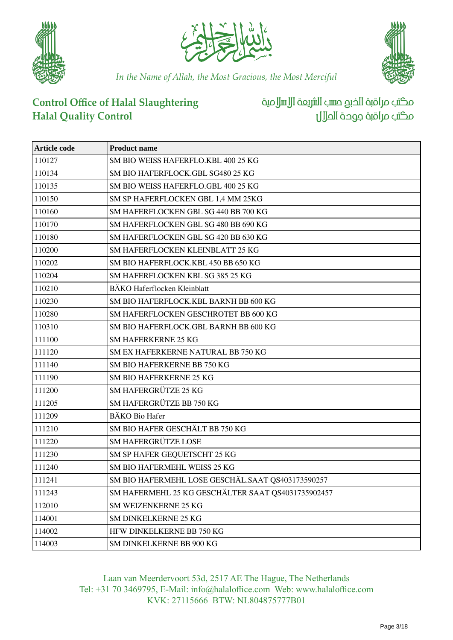





# **Control Office of Halal Slaughtering Halal Quality Control**

مكتب مراقبة الخبع صسب الشريعة الإسلامية مكتب مراقبة جودة احلالل

| Article code | <b>Product name</b>                                |
|--------------|----------------------------------------------------|
| 110127       | SM BIO WEISS HAFERFLO.KBL 400 25 KG                |
| 110134       | SM BIO HAFERFLOCK.GBL SG480 25 KG                  |
| 110135       | SM BIO WEISS HAFERFLO.GBL 400 25 KG                |
| 110150       | SM SP HAFERFLOCKEN GBL 1,4 MM 25KG                 |
| 110160       | SM HAFERFLOCKEN GBL SG 440 BB 700 KG               |
| 110170       | SM HAFERFLOCKEN GBL SG 480 BB 690 KG               |
| 110180       | SM HAFERFLOCKEN GBL SG 420 BB 630 KG               |
| 110200       | SM HAFERFLOCKEN KLEINBLATT 25 KG                   |
| 110202       | SM BIO HAFERFLOCK.KBL 450 BB 650 KG                |
| 110204       | SM HAFERFLOCKEN KBL SG 385 25 KG                   |
| 110210       | BÄKO Haferflocken Kleinblatt                       |
| 110230       | SM BIO HAFERFLOCK.KBL BARNH BB 600 KG              |
| 110280       | SM HAFERFLOCKEN GESCHROTET BB 600 KG               |
| 110310       | SM BIO HAFERFLOCK.GBL BARNH BB 600 KG              |
| 111100       | <b>SM HAFERKERNE 25 KG</b>                         |
| 111120       | SM EX HAFERKERNE NATURAL BB 750 KG                 |
| 111140       | SM BIO HAFERKERNE BB 750 KG                        |
| 111190       | SM BIO HAFERKERNE 25 KG                            |
| 111200       | SM HAFERGRÜTZE 25 KG                               |
| 111205       | SM HAFERGRÜTZE BB 750 KG                           |
| 111209       | <b>BÄKO</b> Bio Hafer                              |
| 111210       | SM BIO HAFER GESCHÄLT BB 750 KG                    |
| 111220       | SM HAFERGRÜTZE LOSE                                |
| 111230       | SM SP HAFER GEQUETSCHT 25 KG                       |
| 111240       | SM BIO HAFERMEHL WEISS 25 KG                       |
| 111241       | SM BIO HAFERMEHL LOSE GESCHÄL.SAAT QS403173590257  |
| 111243       | SM HAFERMEHL 25 KG GESCHÄLTER SAAT QS4031735902457 |
| 112010       | SM WEIZENKERNE 25 KG                               |
| 114001       | SM DINKELKERNE 25 KG                               |
| 114002       | HFW DINKELKERNE BB 750 KG                          |
| 114003       | SM DINKELKERNE BB 900 KG                           |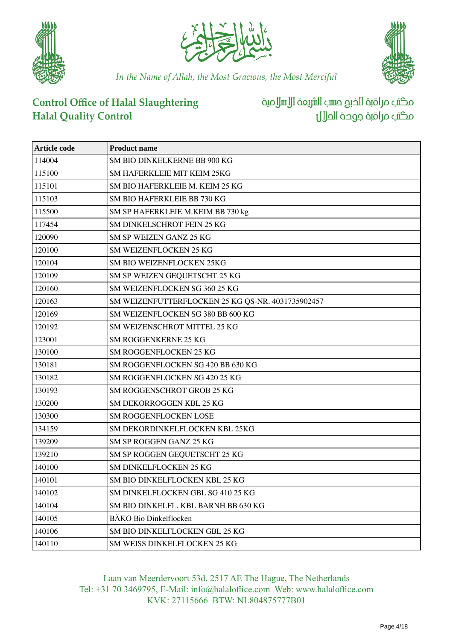





# **Control Office of Halal Slaughtering Halal Quality Control**

مكتب مراقبة الخبع صسب الشريعة الإسلامية مكتب مراقبة جوحة الملال

| Article code | <b>Product name</b>                               |
|--------------|---------------------------------------------------|
| 114004       | SM BIO DINKELKERNE BB 900 KG                      |
| 115100       | SM HAFERKLEIE MIT KEIM 25KG                       |
| 115101       | SM BIO HAFERKLEIE M. KEIM 25 KG                   |
| 115103       | SM BIO HAFERKLEIE BB 730 KG                       |
| 115500       | SM SP HAFERKLEIE M.KEIM BB 730 kg                 |
| 117454       | SM DINKELSCHROT FEIN 25 KG                        |
| 120090       | SM SP WEIZEN GANZ 25 KG                           |
| 120100       | SM WEIZENFLOCKEN 25 KG                            |
| 120104       | SM BIO WEIZENFLOCKEN 25KG                         |
| 120109       | SM SP WEIZEN GEQUETSCHT 25 KG                     |
| 120160       | SM WEIZENFLOCKEN SG 360 25 KG                     |
| 120163       | SM WEIZENFUTTERFLOCKEN 25 KG QS-NR. 4031735902457 |
| 120169       | SM WEIZENFLOCKEN SG 380 BB 600 KG                 |
| 120192       | SM WEIZENSCHROT MITTEL 25 KG                      |
| 123001       | SM ROGGENKERNE 25 KG                              |
| 130100       | SM ROGGENFLOCKEN 25 KG                            |
| 130181       | SM ROGGENFLOCKEN SG 420 BB 630 KG                 |
| 130182       | SM ROGGENFLOCKEN SG 420 25 KG                     |
| 130193       | SM ROGGENSCHROT GROB 25 KG                        |
| 130200       | SM DEKORROGGEN KBL 25 KG                          |
| 130300       | SM ROGGENFLOCKEN LOSE                             |
| 134159       | SM DEKORDINKELFLOCKEN KBL 25KG                    |
| 139209       | SM SP ROGGEN GANZ 25 KG                           |
| 139210       | SM SP ROGGEN GEQUETSCHT 25 KG                     |
| 140100       | SM DINKELFLOCKEN 25 KG                            |
| 140101       | SM BIO DINKELFLOCKEN KBL 25 KG                    |
| 140102       | SM DINKELFLOCKEN GBL SG 410 25 KG                 |
| 140104       | SM BIO DINKELFL. KBL BARNH BB 630 KG              |
| 140105       | BÄKO Bio Dinkelflocken                            |
| 140106       | SM BIO DINKELFLOCKEN GBL 25 KG                    |
| 140110       | SM WEISS DINKELFLOCKEN 25 KG                      |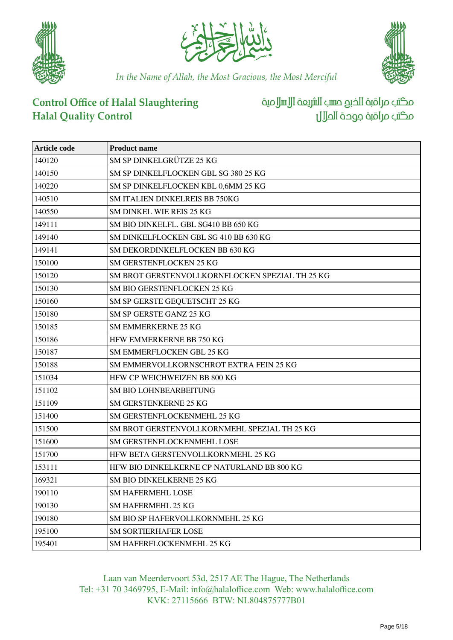





# **Control Office of Halal Slaughtering Halal Quality Control**

مكتب مراقبة الخبع صسب الشريعة الإسلامية مكتب مراقبة جودة احلالل

| Article code | <b>Product name</b>                             |
|--------------|-------------------------------------------------|
| 140120       | SM SP DINKELGRÜTZE 25 KG                        |
| 140150       | SM SP DINKELFLOCKEN GBL SG 380 25 KG            |
| 140220       | SM SP DINKELFLOCKEN KBL 0,6MM 25 KG             |
| 140510       | <b>SM ITALIEN DINKELREIS BB 750KG</b>           |
| 140550       | SM DINKEL WIE REIS 25 KG                        |
| 149111       | SM BIO DINKELFL. GBL SG410 BB 650 KG            |
| 149140       | SM DINKELFLOCKEN GBL SG 410 BB 630 KG           |
| 149141       | SM DEKORDINKELFLOCKEN BB 630 KG                 |
| 150100       | SM GERSTENFLOCKEN 25 KG                         |
| 150120       | SM BROT GERSTENVOLLKORNFLOCKEN SPEZIAL TH 25 KG |
| 150130       | SM BIO GERSTENFLOCKEN 25 KG                     |
| 150160       | SM SP GERSTE GEQUETSCHT 25 KG                   |
| 150180       | SM SP GERSTE GANZ 25 KG                         |
| 150185       | <b>SM EMMERKERNE 25 KG</b>                      |
| 150186       | HFW EMMERKERNE BB 750 KG                        |
| 150187       | <b>SM EMMERFLOCKEN GBL 25 KG</b>                |
| 150188       | SM EMMERVOLLKORNSCHROT EXTRA FEIN 25 KG         |
| 151034       | HFW CP WEICHWEIZEN BB 800 KG                    |
| 151102       | SM BIO LOHNBEARBEITUNG                          |
| 151109       | SM GERSTENKERNE 25 KG                           |
| 151400       | SM GERSTENFLOCKENMEHL 25 KG                     |
| 151500       | SM BROT GERSTENVOLLKORNMEHL SPEZIAL TH 25 KG    |
| 151600       | SM GERSTENFLOCKENMEHL LOSE                      |
| 151700       | HFW BETA GERSTENVOLLKORNMEHL 25 KG              |
| 153111       | HFW BIO DINKELKERNE CP NATURLAND BB 800 KG      |
| 169321       | SM BIO DINKELKERNE 25 KG                        |
| 190110       | <b>SM HAFERMEHL LOSE</b>                        |
| 190130       | SM HAFERMEHL 25 KG                              |
| 190180       | SM BIO SP HAFERVOLLKORNMEHL 25 KG               |
| 195100       | <b>SM SORTIERHAFER LOSE</b>                     |
| 195401       | SM HAFERFLOCKENMEHL 25 KG                       |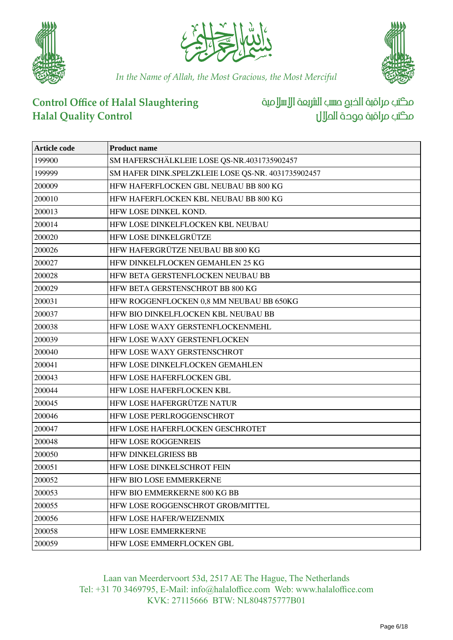





### **Control Office of Halal Slaughtering Halal Quality Control**

مكتب مراقبة الخبع صسب الشريعة الإسلامية مكتب مراقبة جودة احلالل

| <b>Article code</b> | <b>Product name</b>                                |
|---------------------|----------------------------------------------------|
| 199900              | SM HAFERSCHÄLKLEIE LOSE QS-NR.4031735902457        |
| 199999              | SM HAFER DINK.SPELZKLEIE LOSE QS-NR. 4031735902457 |
| 200009              | HFW HAFERFLOCKEN GBL NEUBAU BB 800 KG              |
| 200010              | HFW HAFERFLOCKEN KBL NEUBAU BB 800 KG              |
| 200013              | HFW LOSE DINKEL KOND.                              |
| 200014              | HFW LOSE DINKELFLOCKEN KBL NEUBAU                  |
| 200020              | HFW LOSE DINKELGRÜTZE                              |
| 200026              | HFW HAFERGRÜTZE NEUBAU BB 800 KG                   |
| 200027              | HFW DINKELFLOCKEN GEMAHLEN 25 KG                   |
| 200028              | HFW BETA GERSTENFLOCKEN NEUBAU BB                  |
| 200029              | HFW BETA GERSTENSCHROT BB 800 KG                   |
| 200031              | HFW ROGGENFLOCKEN 0,8 MM NEUBAU BB 650KG           |
| 200037              | HFW BIO DINKELFLOCKEN KBL NEUBAU BB                |
| 200038              | HFW LOSE WAXY GERSTENFLOCKENMEHL                   |
| 200039              | HFW LOSE WAXY GERSTENFLOCKEN                       |
| 200040              | HFW LOSE WAXY GERSTENSCHROT                        |
| 200041              | HFW LOSE DINKELFLOCKEN GEMAHLEN                    |
| 200043              | HFW LOSE HAFERFLOCKEN GBL                          |
| 200044              | HFW LOSE HAFERFLOCKEN KBL                          |
| 200045              | HFW LOSE HAFERGRÜTZE NATUR                         |
| 200046              | HFW LOSE PERLROGGENSCHROT                          |
| 200047              | HFW LOSE HAFERFLOCKEN GESCHROTET                   |
| 200048              | <b>HFW LOSE ROGGENREIS</b>                         |
| 200050              | <b>HFW DINKELGRIESS BB</b>                         |
| 200051              | HFW LOSE DINKELSCHROT FEIN                         |
| 200052              | <b>HEW BIO LOSE EMMERKERNE</b>                     |
| 200053              | HFW BIO EMMERKERNE 800 KG BB                       |
| 200055              | HFW LOSE ROGGENSCHROT GROB/MITTEL                  |
| 200056              | HFW LOSE HAFER/WEIZENMIX                           |
| 200058              | HFW LOSE EMMERKERNE                                |
| 200059              | HFW LOSE EMMERFLOCKEN GBL                          |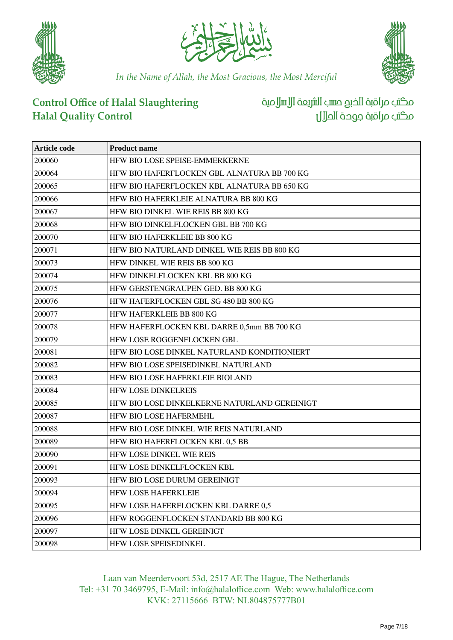





# **Control Office of Halal Slaughtering Halal Quality Control**

مكتب مراقبة الخبع صسب الشريعة الإسلامية مكتب مراقبة جوحة الملال

| Article code | <b>Product name</b>                          |
|--------------|----------------------------------------------|
| 200060       | HFW BIO LOSE SPEISE-EMMERKERNE               |
| 200064       | HFW BIO HAFERFLOCKEN GBL ALNATURA BB 700 KG  |
| 200065       | HFW BIO HAFERFLOCKEN KBL ALNATURA BB 650 KG  |
| 200066       | HFW BIO HAFERKLEIE ALNATURA BB 800 KG        |
| 200067       | HFW BIO DINKEL WIE REIS BB 800 KG            |
| 200068       | HFW BIO DINKELFLOCKEN GBL BB 700 KG          |
| 200070       | HFW BIO HAFERKLEIE BB 800 KG                 |
| 200071       | HFW BIO NATURLAND DINKEL WIE REIS BB 800 KG  |
| 200073       | HFW DINKEL WIE REIS BB 800 KG                |
| 200074       | HFW DINKELFLOCKEN KBL BB 800 KG              |
| 200075       | HFW GERSTENGRAUPEN GED. BB 800 KG            |
| 200076       | HFW HAFERFLOCKEN GBL SG 480 BB 800 KG        |
| 200077       | HFW HAFERKLEIE BB 800 KG                     |
| 200078       | HFW HAFERFLOCKEN KBL DARRE 0,5mm BB 700 KG   |
| 200079       | HFW LOSE ROGGENFLOCKEN GBL                   |
| 200081       | HFW BIO LOSE DINKEL NATURLAND KONDITIONIERT  |
| 200082       | HFW BIO LOSE SPEISEDINKEL NATURLAND          |
| 200083       | HFW BIO LOSE HAFERKLEIE BIOLAND              |
| 200084       | <b>HFW LOSE DINKELREIS</b>                   |
| 200085       | HFW BIO LOSE DINKELKERNE NATURLAND GEREINIGT |
| 200087       | <b>HFW BIO LOSE HAFERMEHL</b>                |
| 200088       | HFW BIO LOSE DINKEL WIE REIS NATURLAND       |
| 200089       | HFW BIO HAFERFLOCKEN KBL 0,5 BB              |
| 200090       | HFW LOSE DINKEL WIE REIS                     |
| 200091       | HFW LOSE DINKELFLOCKEN KBL                   |
| 200093       | HFW BIO LOSE DURUM GEREINIGT                 |
| 200094       | <b>HFW LOSE HAFERKLEIE</b>                   |
| 200095       | HFW LOSE HAFERFLOCKEN KBL DARRE 0,5          |
| 200096       | HFW ROGGENFLOCKEN STANDARD BB 800 KG         |
| 200097       | HFW LOSE DINKEL GEREINIGT                    |
| 200098       | HFW LOSE SPEISEDINKEL                        |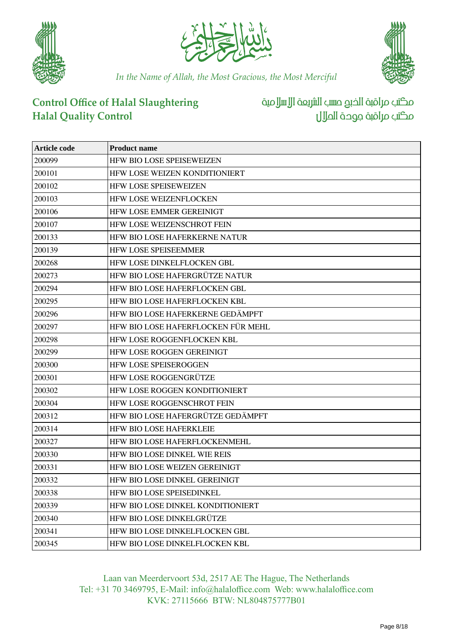





# **Control Office of Halal Slaughtering Halal Quality Control**

مكتب مراقبة الخبع صسب الشريعة الإسلامية مكتب مراقبة جودة احلالل

| <b>Article code</b> | <b>Product name</b>                 |
|---------------------|-------------------------------------|
| 200099              | HFW BIO LOSE SPEISEWEIZEN           |
| 200101              | HFW LOSE WEIZEN KONDITIONIERT       |
| 200102              | <b>HFW LOSE SPEISEWEIZEN</b>        |
| 200103              | <b>HFW LOSE WEIZENFLOCKEN</b>       |
| 200106              | HFW LOSE EMMER GEREINIGT            |
| 200107              | HFW LOSE WEIZENSCHROT FEIN          |
| 200133              | HFW BIO LOSE HAFERKERNE NATUR       |
| 200139              | <b>HFW LOSE SPEISEEMMER</b>         |
| 200268              | HFW LOSE DINKELFLOCKEN GBL          |
| 200273              | HFW BIO LOSE HAFERGRÜTZE NATUR      |
| 200294              | HFW BIO LOSE HAFERFLOCKEN GBL       |
| 200295              | HFW BIO LOSE HAFERFLOCKEN KBL       |
| 200296              | HFW BIO LOSE HAFERKERNE GEDÄMPFT    |
| 200297              | HFW BIO LOSE HAFERFLOCKEN FÜR MEHL  |
| 200298              | <b>HEW LOSE ROGGENFLOCKEN KBL</b>   |
| 200299              | <b>HFW LOSE ROGGEN GEREINIGT</b>    |
| 200300              | <b>HFW LOSE SPEISEROGGEN</b>        |
| 200301              | HFW LOSE ROGGENGRÜTZE               |
| 200302              | HFW LOSE ROGGEN KONDITIONIERT       |
| 200304              | <b>HFW LOSE ROGGENSCHROT FEIN</b>   |
| 200312              | HFW BIO LOSE HAFERGRÜTZE GEDÄMPFT   |
| 200314              | <b>HFW BIO LOSE HAFERKLEIE</b>      |
| 200327              | HFW BIO LOSE HAFERFLOCKENMEHL       |
| 200330              | <b>HFW BIO LOSE DINKEL WIE REIS</b> |
| 200331              | HFW BIO LOSE WEIZEN GEREINIGT       |
| 200332              | HFW BIO LOSE DINKEL GEREINIGT       |
| 200338              | HFW BIO LOSE SPEISEDINKEL           |
| 200339              | HFW BIO LOSE DINKEL KONDITIONIERT   |
| 200340              | HFW BIO LOSE DINKELGRÜTZE           |
| 200341              | HFW BIO LOSE DINKELFLOCKEN GBL      |
| 200345              | HFW BIO LOSE DINKELFLOCKEN KBL      |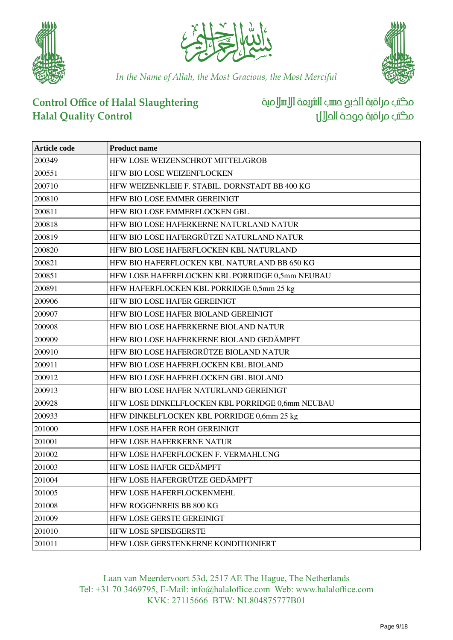





# **Control Office of Halal Slaughtering Halal Quality Control**

مكتب مراقبة الخبع صسب الشريعة الإسلامية مكتب مراقبة جودة احلالل

| <b>Article code</b> | <b>Product name</b>                              |
|---------------------|--------------------------------------------------|
| 200349              | HFW LOSE WEIZENSCHROT MITTEL/GROB                |
| 200551              | HFW BIO LOSE WEIZENFLOCKEN                       |
| 200710              | HFW WEIZENKLEIE F. STABIL. DORNSTADT BB 400 KG   |
| 200810              | HFW BIO LOSE EMMER GEREINIGT                     |
| 200811              | HFW BIO LOSE EMMERFLOCKEN GBL                    |
| 200818              | HFW BIO LOSE HAFERKERNE NATURLAND NATUR          |
| 200819              | HFW BIO LOSE HAFERGRÜTZE NATURLAND NATUR         |
| 200820              | HFW BIO LOSE HAFERFLOCKEN KBL NATURLAND          |
| 200821              | HFW BIO HAFERFLOCKEN KBL NATURLAND BB 650 KG     |
| 200851              | HFW LOSE HAFERFLOCKEN KBL PORRIDGE 0,5mm NEUBAU  |
| 200891              | HFW HAFERFLOCKEN KBL PORRIDGE 0,5mm 25 kg        |
| 200906              | HFW BIO LOSE HAFER GEREINIGT                     |
| 200907              | HFW BIO LOSE HAFER BIOLAND GEREINIGT             |
| 200908              | HFW BIO LOSE HAFERKERNE BIOLAND NATUR            |
| 200909              | HFW BIO LOSE HAFERKERNE BIOLAND GEDÄMPFT         |
| 200910              | HFW BIO LOSE HAFERGRÜTZE BIOLAND NATUR           |
| 200911              | HFW BIO LOSE HAFERFLOCKEN KBL BIOLAND            |
| 200912              | HFW BIO LOSE HAFERFLOCKEN GBL BIOLAND            |
| 200913              | HFW BIO LOSE HAFER NATURLAND GEREINIGT           |
| 200928              | HFW LOSE DINKELFLOCKEN KBL PORRIDGE 0,6mm NEUBAU |
| 200933              | HFW DINKELFLOCKEN KBL PORRIDGE 0,6mm 25 kg       |
| 201000              | HFW LOSE HAFER ROH GEREINIGT                     |
| 201001              | <b>HFW LOSE HAFERKERNE NATUR</b>                 |
| 201002              | HFW LOSE HAFERFLOCKEN F. VERMAHLUNG              |
| 201003              | HFW LOSE HAFER GEDÄMPFT                          |
| 201004              | HFW LOSE HAFERGRÜTZE GEDÄMPFT                    |
| 201005              | HFW LOSE HAFERFLOCKENMEHL                        |
| 201008              | HFW ROGGENREIS BB 800 KG                         |
| 201009              | <b>HFW LOSE GERSTE GEREINIGT</b>                 |
| 201010              | HFW LOSE SPEISEGERSTE                            |
| 201011              | HFW LOSE GERSTENKERNE KONDITIONIERT              |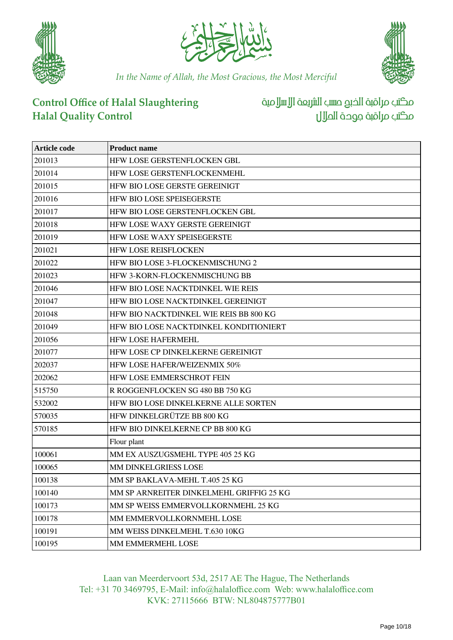





# **Control Office of Halal Slaughtering Halal Quality Control**

مكتب مراقبة الخبع صسب الشريعة الإسلامية مكتب مراقبة جوحة الملال

| Article code | <b>Product name</b>                      |
|--------------|------------------------------------------|
| 201013       | HFW LOSE GERSTENFLOCKEN GBL              |
| 201014       | HFW LOSE GERSTENFLOCKENMEHL              |
| 201015       | HFW BIO LOSE GERSTE GEREINIGT            |
| 201016       | HFW BIO LOSE SPEISEGERSTE                |
| 201017       | HFW BIO LOSE GERSTENFLOCKEN GBL          |
| 201018       | HFW LOSE WAXY GERSTE GEREINIGT           |
| 201019       | HFW LOSE WAXY SPEISEGERSTE               |
| 201021       | HFW LOSE REISFLOCKEN                     |
| 201022       | HFW BIO LOSE 3-FLOCKENMISCHUNG 2         |
| 201023       | HFW 3-KORN-FLOCKENMISCHUNG BB            |
| 201046       | HFW BIO LOSE NACKTDINKEL WIE REIS        |
| 201047       | HFW BIO LOSE NACKTDINKEL GEREINIGT       |
| 201048       | HFW BIO NACKTDINKEL WIE REIS BB 800 KG   |
| 201049       | HFW BIO LOSE NACKTDINKEL KONDITIONIERT   |
| 201056       | HFW LOSE HAFERMEHL                       |
| 201077       | HFW LOSE CP DINKELKERNE GEREINIGT        |
| 202037       | HFW LOSE HAFER/WEIZENMIX 50%             |
| 202062       | HFW LOSE EMMERSCHROT FEIN                |
| 515750       | R ROGGENFLOCKEN SG 480 BB 750 KG         |
| 532002       | HFW BIO LOSE DINKELKERNE ALLE SORTEN     |
| 570035       | HFW DINKELGRÜTZE BB 800 KG               |
| 570185       | HFW BIO DINKELKERNE CP BB 800 KG         |
|              | Flour plant                              |
| 100061       | MM EX AUSZUGSMEHL TYPE 405 25 KG         |
| 100065       | MM DINKELGRIESS LOSE                     |
| 100138       | MM SP BAKLAVA-MEHL T.405 25 KG           |
| 100140       | MM SP ARNREITER DINKELMEHL GRIFFIG 25 KG |
| 100173       | MM SP WEISS EMMERVOLLKORNMEHL 25 KG      |
| 100178       | MM EMMERVOLLKORNMEHL LOSE                |
| 100191       | MM WEISS DINKELMEHL T.630 10KG           |
| 100195       | MM EMMERMEHL LOSE                        |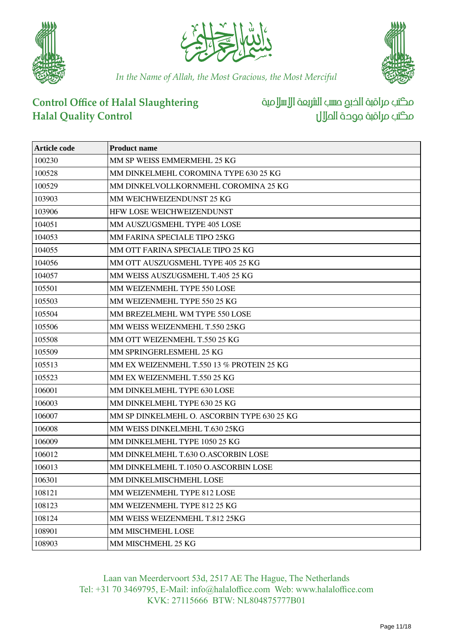





# **Control Office of Halal Slaughtering Halal Quality Control**

مكتب مراقبة الخبع صسب الشريعة الإسلامية مكتب مراقبة جودة احلالل

| Article code | <b>Product name</b>                         |
|--------------|---------------------------------------------|
| 100230       | MM SP WEISS EMMERMEHL 25 KG                 |
| 100528       | MM DINKELMEHL COROMINA TYPE 630 25 KG       |
| 100529       | MM DINKELVOLLKORNMEHL COROMINA 25 KG        |
| 103903       | MM WEICHWEIZENDUNST 25 KG                   |
| 103906       | HFW LOSE WEICHWEIZENDUNST                   |
| 104051       | MM AUSZUGSMEHL TYPE 405 LOSE                |
| 104053       | MM FARINA SPECIALE TIPO 25KG                |
| 104055       | MM OTT FARINA SPECIALE TIPO 25 KG           |
| 104056       | MM OTT AUSZUGSMEHL TYPE 405 25 KG           |
| 104057       | MM WEISS AUSZUGSMEHL T.405 25 KG            |
| 105501       | MM WEIZENMEHL TYPE 550 LOSE                 |
| 105503       | MM WEIZENMEHL TYPE 550 25 KG                |
| 105504       | MM BREZELMEHL WM TYPE 550 LOSE              |
| 105506       | MM WEISS WEIZENMEHL T.550 25KG              |
| 105508       | MM OTT WEIZENMEHL T.550 25 KG               |
| 105509       | MM SPRINGERLESMEHL 25 KG                    |
| 105513       | MM EX WEIZENMEHL T.550 13 % PROTEIN 25 KG   |
| 105523       | MM EX WEIZENMEHL T.550 25 KG                |
| 106001       | MM DINKELMEHL TYPE 630 LOSE                 |
| 106003       | MM DINKELMEHL TYPE 630 25 KG                |
| 106007       | MM SP DINKELMEHL O. ASCORBIN TYPE 630 25 KG |
| 106008       | MM WEISS DINKELMEHL T.630 25KG              |
| 106009       | MM DINKELMEHL TYPE 1050 25 KG               |
| 106012       | MM DINKELMEHL T.630 O.ASCORBIN LOSE         |
| 106013       | MM DINKELMEHL T.1050 O.ASCORBIN LOSE        |
| 106301       | MM DINKELMISCHMEHL LOSE                     |
| 108121       | MM WEIZENMEHL TYPE 812 LOSE                 |
| 108123       | MM WEIZENMEHL TYPE 812 25 KG                |
| 108124       | MM WEISS WEIZENMEHL T.812 25KG              |
| 108901       | MM MISCHMEHL LOSE                           |
| 108903       | MM MISCHMEHL 25 KG                          |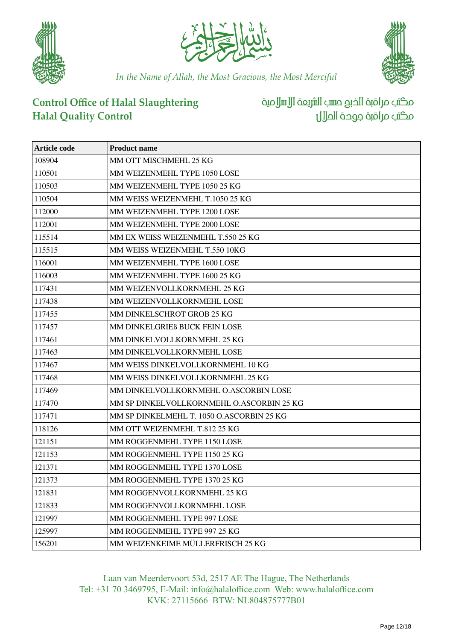





# **Control Office of Halal Slaughtering Halal Quality Control**

مكتب مراقبة الخبع صسب الشريعة الإسلامية مكتب مراقبة جودة احلالل

| Article code | <b>Product name</b>                       |
|--------------|-------------------------------------------|
| 108904       | MM OTT MISCHMEHL 25 KG                    |
| 110501       | MM WEIZENMEHL TYPE 1050 LOSE              |
| 110503       | MM WEIZENMEHL TYPE 1050 25 KG             |
| 110504       | MM WEISS WEIZENMEHL T.1050 25 KG          |
| 112000       | MM WEIZENMEHL TYPE 1200 LOSE              |
| 112001       | MM WEIZENMEHL TYPE 2000 LOSE              |
| 115514       | MM EX WEISS WEIZENMEHL T.550 25 KG        |
| 115515       | MM WEISS WEIZENMEHL T.550 10KG            |
| 116001       | MM WEIZENMEHL TYPE 1600 LOSE              |
| 116003       | MM WEIZENMEHL TYPE 1600 25 KG             |
| 117431       | MM WEIZENVOLLKORNMEHL 25 KG               |
| 117438       | MM WEIZENVOLLKORNMEHL LOSE                |
| 117455       | MM DINKELSCHROT GROB 25 KG                |
| 117457       | MM DINKELGRIEß BUCK FEIN LOSE             |
| 117461       | MM DINKELVOLLKORNMEHL 25 KG               |
| 117463       | MM DINKELVOLLKORNMEHL LOSE                |
| 117467       | MM WEISS DINKELVOLLKORNMEHL 10 KG         |
| 117468       | MM WEISS DINKELVOLLKORNMEHL 25 KG         |
| 117469       | MM DINKELVOLLKORNMEHL O.ASCORBIN LOSE     |
| 117470       | MM SP DINKELVOLLKORNMEHL O.ASCORBIN 25 KG |
| 117471       | MM SP DINKELMEHL T. 1050 O.ASCORBIN 25 KG |
| 118126       | MM OTT WEIZENMEHL T.812 25 KG             |
| 121151       | MM ROGGENMEHL TYPE 1150 LOSE              |
| 121153       | MM ROGGENMEHL TYPE 1150 25 KG             |
| 121371       | MM ROGGENMEHL TYPE 1370 LOSE              |
| 121373       | MM ROGGENMEHL TYPE 1370 25 KG             |
| 121831       | MM ROGGENVOLLKORNMEHL 25 KG               |
| 121833       | MM ROGGENVOLLKORNMEHL LOSE                |
| 121997       | MM ROGGENMEHL TYPE 997 LOSE               |
| 125997       | MM ROGGENMEHL TYPE 997 25 KG              |
| 156201       | MM WEIZENKEIME MÜLLERFRISCH 25 KG         |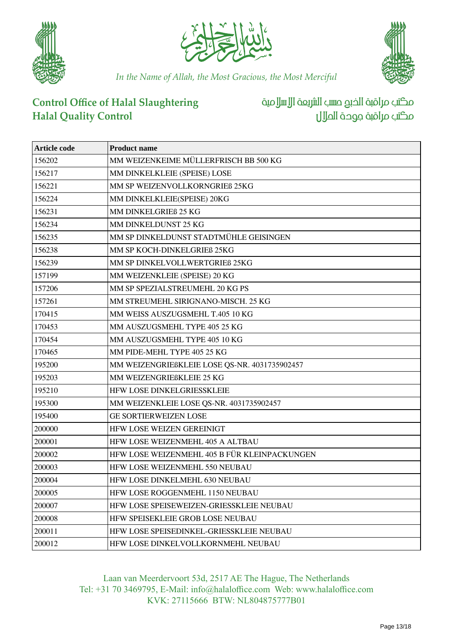





# **Control Office of Halal Slaughtering Halal Quality Control**

مكتب مراقبة الخبع صسب الشريعة الإسلامية مكتب مراقبة جوحة الملال

| <b>Article code</b> | <b>Product name</b>                           |
|---------------------|-----------------------------------------------|
| 156202              | MM WEIZENKEIME MÜLLERFRISCH BB 500 KG         |
| 156217              | MM DINKELKLEIE (SPEISE) LOSE                  |
| 156221              | MM SP WEIZENVOLLKORNGRIEß 25KG                |
| 156224              | MM DINKELKLEIE(SPEISE) 20KG                   |
| 156231              | MM DINKELGRIEß 25 KG                          |
| 156234              | MM DINKELDUNST 25 KG                          |
| 156235              | MM SP DINKELDUNST STADTMÜHLE GEISINGEN        |
| 156238              | MM SP KOCH-DINKELGRIEß 25KG                   |
| 156239              | MM SP DINKELVOLLWERTGRIEß 25KG                |
| 157199              | MM WEIZENKLEIE (SPEISE) 20 KG                 |
| 157206              | MM SP SPEZIALSTREUMEHL 20 KG PS               |
| 157261              | MM STREUMEHL SIRIGNANO-MISCH. 25 KG           |
| 170415              | MM WEISS AUSZUGSMEHL T.405 10 KG              |
| 170453              | MM AUSZUGSMEHL TYPE 405 25 KG                 |
| 170454              | MM AUSZUGSMEHL TYPE 405 10 KG                 |
| 170465              | MM PIDE-MEHL TYPE 405 25 KG                   |
| 195200              | MM WEIZENGRIEßKLEIE LOSE QS-NR. 4031735902457 |
| 195203              | MM WEIZENGRIEßKLEIE 25 KG                     |
| 195210              | HFW LOSE DINKELGRIESSKLEIE                    |
| 195300              | MM WEIZENKLEIE LOSE QS-NR. 4031735902457      |
| 195400              | <b>GE SORTIERWEIZEN LOSE</b>                  |
| 200000              | HFW LOSE WEIZEN GEREINIGT                     |
| 200001              | HFW LOSE WEIZENMEHL 405 A ALTBAU              |
| 200002              | HFW LOSE WEIZENMEHL 405 B FÜR KLEINPACKUNGEN  |
| 200003              | HFW LOSE WEIZENMEHL 550 NEUBAU                |
| 200004              | HFW LOSE DINKELMEHL 630 NEUBAU                |
| 200005              | HFW LOSE ROGGENMEHL 1150 NEUBAU               |
| 200007              | HFW LOSE SPEISEWEIZEN-GRIESSKLEIE NEUBAU      |
| 200008              | HFW SPEISEKLEIE GROB LOSE NEUBAU              |
| 200011              | HFW LOSE SPEISEDINKEL-GRIESSKLEIE NEUBAU      |
| 200012              | HFW LOSE DINKELVOLLKORNMEHL NEUBAU            |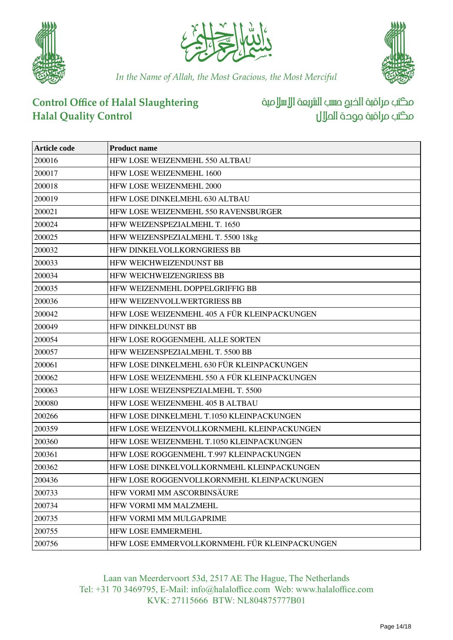





# **Control Office of Halal Slaughtering Halal Quality Control**

مكتب مراقبة الخبع صسب الشريعة الإسلامية مكتب مراقبة جوحة الملال

| Article code | <b>Product name</b>                           |
|--------------|-----------------------------------------------|
| 200016       | HFW LOSE WEIZENMEHL 550 ALTBAU                |
| 200017       | HFW LOSE WEIZENMEHL 1600                      |
| 200018       | HFW LOSE WEIZENMEHL 2000                      |
| 200019       | HFW LOSE DINKELMEHL 630 ALTBAU                |
| 200021       | HFW LOSE WEIZENMEHL 550 RAVENSBURGER          |
| 200024       | HFW WEIZENSPEZIALMEHL T. 1650                 |
| 200025       | HFW WEIZENSPEZIALMEHL T. 5500 18kg            |
| 200032       | HFW DINKELVOLLKORNGRIESS BB                   |
| 200033       | HFW WEICHWEIZENDUNST BB                       |
| 200034       | <b>HFW WEICHWEIZENGRIESS BB</b>               |
| 200035       | HFW WEIZENMEHL DOPPELGRIFFIG BB               |
| 200036       | HFW WEIZENVOLLWERTGRIESS BB                   |
| 200042       | HFW LOSE WEIZENMEHL 405 A FÜR KLEINPACKUNGEN  |
| 200049       | <b>HFW DINKELDUNST BB</b>                     |
| 200054       | HFW LOSE ROGGENMEHL ALLE SORTEN               |
| 200057       | HFW WEIZENSPEZIALMEHL T. 5500 BB              |
| 200061       | HFW LOSE DINKELMEHL 630 FÜR KLEINPACKUNGEN    |
| 200062       | HFW LOSE WEIZENMEHL 550 A FÜR KLEINPACKUNGEN  |
| 200063       | HFW LOSE WEIZENSPEZIALMEHL T. 5500            |
| 200080       | HFW LOSE WEIZENMEHL 405 B ALTBAU              |
| 200266       | HFW LOSE DINKELMEHL T.1050 KLEINPACKUNGEN     |
| 200359       | HFW LOSE WEIZENVOLLKORNMEHL KLEINPACKUNGEN    |
| 200360       | HFW LOSE WEIZENMEHL T.1050 KLEINPACKUNGEN     |
| 200361       | HFW LOSE ROGGENMEHL T.997 KLEINPACKUNGEN      |
| 200362       | HFW LOSE DINKELVOLLKORNMEHL KLEINPACKUNGEN    |
| 200436       | HFW LOSE ROGGENVOLLKORNMEHL KLEINPACKUNGEN    |
| 200733       | HFW VORMI MM ASCORBINSÄURE                    |
| 200734       | HFW VORMI MM MALZMEHL                         |
| 200735       | HFW VORMI MM MULGAPRIME                       |
| 200755       | HFW LOSE EMMERMEHL                            |
| 200756       | HFW LOSE EMMERVOLLKORNMEHL FÜR KLEINPACKUNGEN |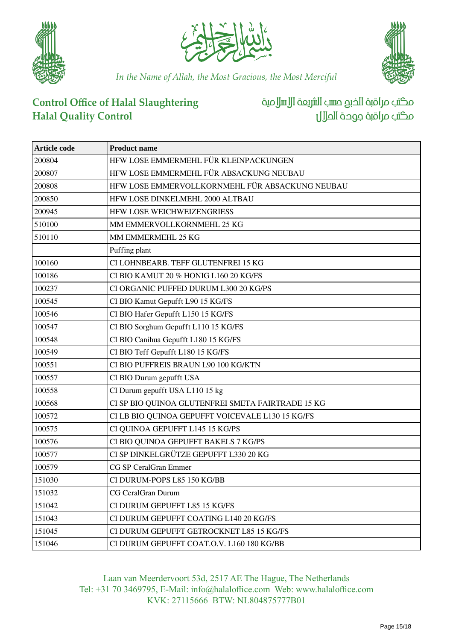





### **Control Office of Halal Slaughtering Halal Quality Control**

مكتب مراقبة الخبع صسب الشريعة الإسلامية مكتب مراقبة جودة احلالل

| <b>Article code</b> | <b>Product name</b>                               |
|---------------------|---------------------------------------------------|
| 200804              | HFW LOSE EMMERMEHL FÜR KLEINPACKUNGEN             |
| 200807              | HFW LOSE EMMERMEHL FÜR ABSACKUNG NEUBAU           |
| 200808              | HFW LOSE EMMERVOLLKORNMEHL FÜR ABSACKUNG NEUBAU   |
| 200850              | HFW LOSE DINKELMEHL 2000 ALTBAU                   |
| 200945              | HFW LOSE WEICHWEIZENGRIESS                        |
| 510100              | MM EMMERVOLLKORNMEHL 25 KG                        |
| 510110              | MM EMMERMEHL 25 KG                                |
|                     | Puffing plant                                     |
| 100160              | CI LOHNBEARB. TEFF GLUTENFREI 15 KG               |
| 100186              | CI BIO KAMUT 20 % HONIG L160 20 KG/FS             |
| 100237              | CI ORGANIC PUFFED DURUM L300 20 KG/PS             |
| 100545              | CI BIO Kamut Gepufft L90 15 KG/FS                 |
| 100546              | CI BIO Hafer Gepufft L150 15 KG/FS                |
| 100547              | CI BIO Sorghum Gepufft L110 15 KG/FS              |
| 100548              | CI BIO Canihua Gepufft L180 15 KG/FS              |
| 100549              | CI BIO Teff Gepufft L180 15 KG/FS                 |
| 100551              | CI BIO PUFFREIS BRAUN L90 100 KG/KTN              |
| 100557              | CI BIO Durum gepufft USA                          |
| 100558              | CI Durum gepufft USA L110 15 kg                   |
| 100568              | CI SP BIO QUINOA GLUTENFREI SMETA FAIRTRADE 15 KG |
| 100572              | CI LB BIO QUINOA GEPUFFT VOICEVALE L130 15 KG/FS  |
| 100575              | CI QUINOA GEPUFFT L145 15 KG/PS                   |
| 100576              | CI BIO QUINOA GEPUFFT BAKELS 7 KG/PS              |
| 100577              | CI SP DINKELGRÜTZE GEPUFFT L330 20 KG             |
| 100579              | <b>CG SP CeralGran Emmer</b>                      |
| 151030              | CI DURUM-POPS L85 150 KG/BB                       |
| 151032              | CG CeralGran Durum                                |
| 151042              | CI DURUM GEPUFFT L85 15 KG/FS                     |
| 151043              | CI DURUM GEPUFFT COATING L140 20 KG/FS            |
| 151045              | CI DURUM GEPUFFT GETROCKNET L85 15 KG/FS          |
| 151046              | CI DURUM GEPUFFT COAT.O.V. L160 180 KG/BB         |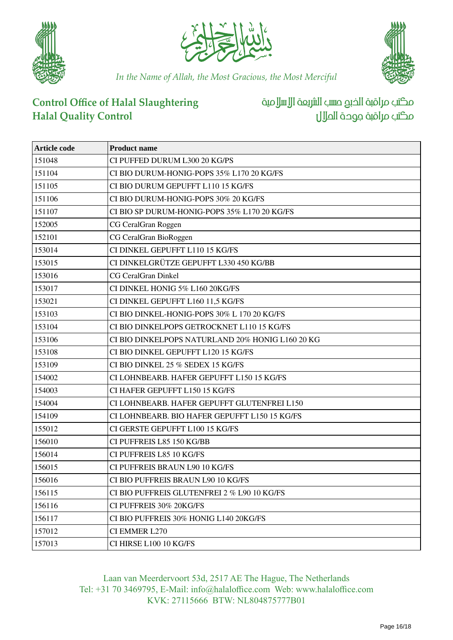





# **Control Office of Halal Slaughtering Halal Quality Control**

مكتب مراقبة الخبع صسب الشريعة الإسلامية مكتب مراقبة جوحة الملال

| <b>Article code</b> | <b>Product name</b>                              |
|---------------------|--------------------------------------------------|
| 151048              | CI PUFFED DURUM L300 20 KG/PS                    |
| 151104              | CI BIO DURUM-HONIG-POPS 35% L170 20 KG/FS        |
| 151105              | CI BIO DURUM GEPUFFT L110 15 KG/FS               |
| 151106              | CI BIO DURUM-HONIG-POPS 30% 20 KG/FS             |
| 151107              | CI BIO SP DURUM-HONIG-POPS 35% L170 20 KG/FS     |
| 152005              | CG CeralGran Roggen                              |
| 152101              | CG CeralGran BioRoggen                           |
| 153014              | CI DINKEL GEPUFFT L110 15 KG/FS                  |
| 153015              | CI DINKELGRÜTZE GEPUFFT L330 450 KG/BB           |
| 153016              | <b>CG CeralGran Dinkel</b>                       |
| 153017              | CI DINKEL HONIG 5% L160 20KG/FS                  |
| 153021              | CI DINKEL GEPUFFT L160 11,5 KG/FS                |
| 153103              | CI BIO DINKEL-HONIG-POPS 30% L 170 20 KG/FS      |
| 153104              | CI BIO DINKELPOPS GETROCKNET L110 15 KG/FS       |
| 153106              | CI BIO DINKELPOPS NATURLAND 20% HONIG L160 20 KG |
| 153108              | CI BIO DINKEL GEPUFFT L120 15 KG/FS              |
| 153109              | CI BIO DINKEL 25 % SEDEX 15 KG/FS                |
| 154002              | CI LOHNBEARB. HAFER GEPUFFT L150 15 KG/FS        |
| 154003              | CI HAFER GEPUFFT L150 15 KG/FS                   |
| 154004              | CI LOHNBEARB. HAFER GEPUFFT GLUTENFREI L150      |
| 154109              | CI LOHNBEARB. BIO HAFER GEPUFFT L150 15 KG/FS    |
| 155012              | CI GERSTE GEPUFFT L100 15 KG/FS                  |
| 156010              | CI PUFFREIS L85 150 KG/BB                        |
| 156014              | CI PUFFREIS L85 10 KG/FS                         |
| 156015              | CI PUFFREIS BRAUN L90 10 KG/FS                   |
| 156016              | CI BIO PUFFREIS BRAUN L90 10 KG/FS               |
| 156115              | CI BIO PUFFREIS GLUTENFREI 2 % L90 10 KG/FS      |
| 156116              | CI PUFFREIS 30% 20KG/FS                          |
| 156117              | CI BIO PUFFREIS 30% HONIG L140 20KG/FS           |
| 157012              | CI EMMER L270                                    |
| 157013              | CI HIRSE L100 10 KG/FS                           |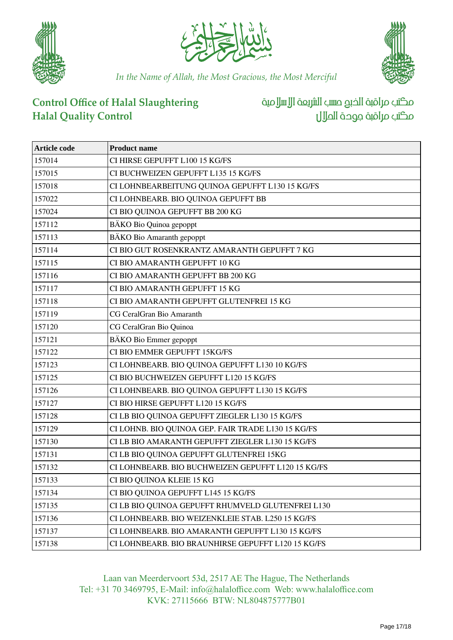





# **Control Office of Halal Slaughtering Halal Quality Control**

مكتب مراقبة الخبع صسب الشريعة الإسلامية مكتب مراقبة جودة احلالل

| <b>Article code</b> | <b>Product name</b>                                |
|---------------------|----------------------------------------------------|
| 157014              | CI HIRSE GEPUFFT L100 15 KG/FS                     |
| 157015              | CI BUCHWEIZEN GEPUFFT L135 15 KG/FS                |
| 157018              | CI LOHNBEARBEITUNG QUINOA GEPUFFT L130 15 KG/FS    |
| 157022              | CI LOHNBEARB. BIO QUINOA GEPUFFT BB                |
| 157024              | CI BIO QUINOA GEPUFFT BB 200 KG                    |
| 157112              | BÄKO Bio Quinoa gepoppt                            |
| 157113              | BÄKO Bio Amaranth gepoppt                          |
| 157114              | CI BIO GUT ROSENKRANTZ AMARANTH GEPUFFT 7 KG       |
| 157115              | CI BIO AMARANTH GEPUFFT 10 KG                      |
| 157116              | CI BIO AMARANTH GEPUFFT BB 200 KG                  |
| 157117              | CI BIO AMARANTH GEPUFFT 15 KG                      |
| 157118              | CI BIO AMARANTH GEPUFFT GLUTENFREI 15 KG           |
| 157119              | CG CeralGran Bio Amaranth                          |
| 157120              | CG CeralGran Bio Quinoa                            |
| 157121              | BÄKO Bio Emmer gepoppt                             |
| 157122              | CI BIO EMMER GEPUFFT 15KG/FS                       |
| 157123              | CI LOHNBEARB. BIO QUINOA GEPUFFT L130 10 KG/FS     |
| 157125              | CI BIO BUCHWEIZEN GEPUFFT L120 15 KG/FS            |
| 157126              | CI LOHNBEARB. BIO QUINOA GEPUFFT L130 15 KG/FS     |
| 157127              | CI BIO HIRSE GEPUFFT L120 15 KG/FS                 |
| 157128              | CI LB BIO QUINOA GEPUFFT ZIEGLER L130 15 KG/FS     |
| 157129              | CI LOHNB. BIO QUINOA GEP. FAIR TRADE L130 15 KG/FS |
| 157130              | CI LB BIO AMARANTH GEPUFFT ZIEGLER L130 15 KG/FS   |
| 157131              | CI LB BIO QUINOA GEPUFFT GLUTENFREI 15KG           |
| 157132              | CI LOHNBEARB. BIO BUCHWEIZEN GEPUFFT L120 15 KG/FS |
| 157133              | CI BIO QUINOA KLEIE 15 KG                          |
| 157134              | CI BIO QUINOA GEPUFFT L145 15 KG/FS                |
| 157135              | CI LB BIO QUINOA GEPUFFT RHUMVELD GLUTENFREI L130  |
| 157136              | CI LOHNBEARB. BIO WEIZENKLEIE STAB. L250 15 KG/FS  |
| 157137              | CI LOHNBEARB. BIO AMARANTH GEPUFFT L130 15 KG/FS   |
| 157138              | CI LOHNBEARB. BIO BRAUNHIRSE GEPUFFT L120 15 KG/FS |